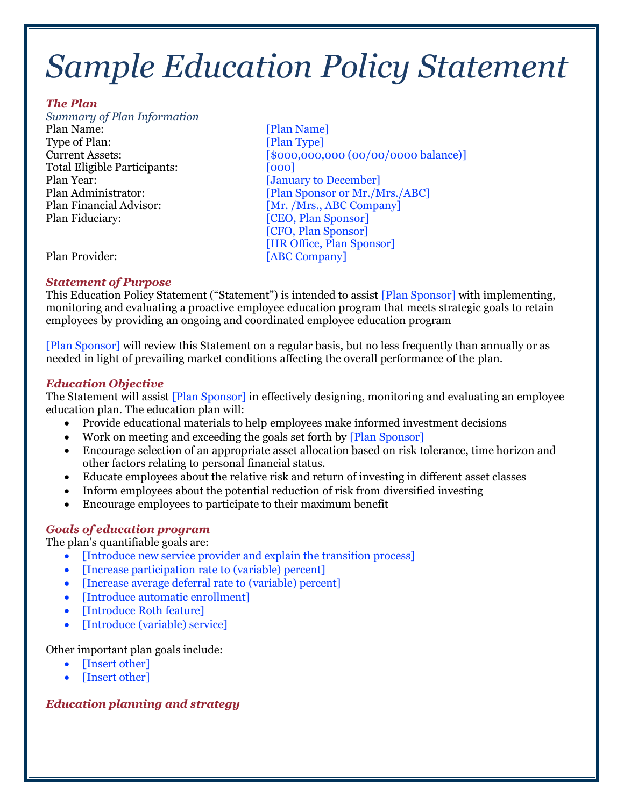# *Sample Education Policy Statement*

#### *The Plan*

 *Summary of Plan Information*  Type of Plan: [Plan Type] Total Eligible Participants: [000] Plan Year: [January to December] Plan Financial Advisor: [Mr. /Mrs., ABC Company] Plan Name: [Plan Name] Plan Fiduciary: [CEO, Plan Sponsor]

Current Assets:  $[$000,000,000,000,000]$ Plan Administrator: [Plan Sponsor or Mr./Mrs./ABC] [CFO, Plan Sponsor] [HR Office, Plan Sponsor] Plan Provider: [ABC Company]

#### *Statement of Purpose*

This Education Policy Statement ("Statement") is intended to assist [Plan Sponsor] with implementing, monitoring and evaluating a proactive employee education program that meets strategic goals to retain employees by providing an ongoing and coordinated employee education program

 [Plan Sponsor] will review this Statement on a regular basis, but no less frequently than annually or as needed in light of prevailing market conditions affecting the overall performance of the plan.

# *Education Objective*

The Statement will assist [Plan Sponsor] in effectively designing, monitoring and evaluating an employee education plan. The education plan will:

- Provide educational materials to help employees make informed investment decisions
- Work on meeting and exceeding the goals set forth by [Plan Sponsor]
- • Encourage selection of an appropriate asset allocation based on risk tolerance, time horizon and other factors relating to personal financial status.
- Educate employees about the relative risk and return of investing in different asset classes
- Inform employees about the potential reduction of risk from diversified investing
- Encourage employees to participate to their maximum benefit

# *Goals of education program*

The plan's quantifiable goals are:

- [Introduce new service provider and explain the transition process]
- [Increase participation rate to (variable) percent]
- [Increase average deferral rate to (variable) percent]
- [Introduce automatic enrollment]
- [Introduce Roth feature]
- [Introduce (variable) service]

# Other important plan goals include:

- [Insert other]
- [Insert other]

# *Education planning and strategy*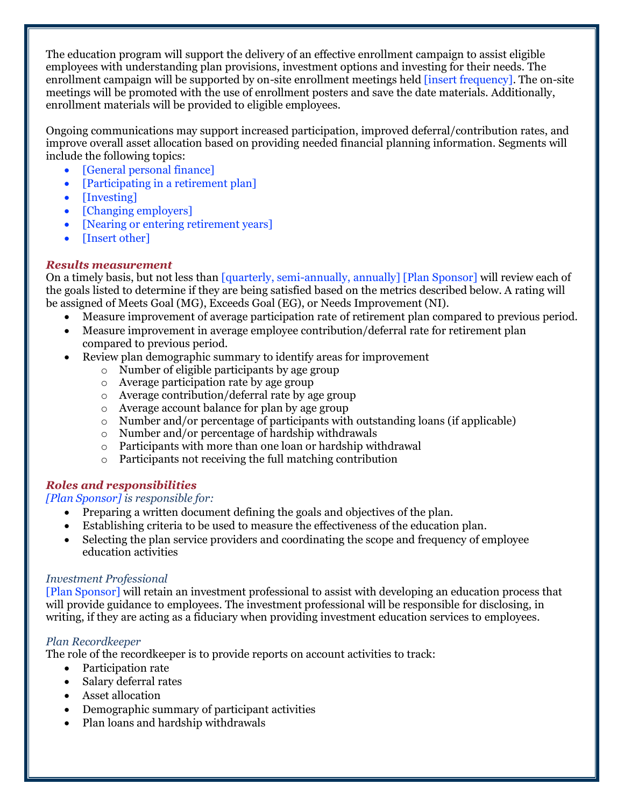The education program will support the delivery of an effective enrollment campaign to assist eligible employees with understanding plan provisions, investment options and investing for their needs. The enrollment campaign will be supported by on-site enrollment meetings held [insert frequency]. The on-site meetings will be promoted with the use of enrollment posters and save the date materials. Additionally, enrollment materials will be provided to eligible employees.

 Ongoing communications may support increased participation, improved deferral/contribution rates, and improve overall asset allocation based on providing needed financial planning information. Segments will include the following topics:

- [General personal finance]
- [Participating in a retirement plan]
- [Investing]
- [Changing employers]
- [Nearing or entering retirement years]
- [Insert other]

### *Results measurement*

On a timely basis, but not less than [quarterly, semi-annually, annually] [Plan Sponsor] will review each of the goals listed to determine if they are being satisfied based on the metrics described below. A rating will be assigned of Meets Goal (MG), Exceeds Goal (EG), or Needs Improvement (NI).

- Measure improvement of average participation rate of retirement plan compared to previous period.
- • Measure improvement in average employee contribution/deferral rate for retirement plan compared to previous period.
- • Review plan demographic summary to identify areas for improvement
	- o Number of eligible participants by age group
	- o Average participation rate by age group
	- o Average contribution/deferral rate by age group
	- o Average account balance for plan by age group
	- o Number and/or percentage of participants with outstanding loans (if applicable)
	- o Number and/or percentage of hardship withdrawals
	- o Participants with more than one loan or hardship withdrawal
	- o Participants not receiving the full matching contribution

# *Roles and responsibilities*

#### *[Plan Sponsor] is responsible for:*

- Preparing a written document defining the goals and objectives of the plan.
- Establishing criteria to be used to measure the effectiveness of the education plan.
- • Selecting the plan service providers and coordinating the scope and frequency of employee education activities

#### *Investment Professional*

 [Plan Sponsor] will retain an investment professional to assist with developing an education process that will provide guidance to employees. The investment professional will be responsible for disclosing, in writing, if they are acting as a fiduciary when providing investment education services to employees.

#### *Plan Recordkeeper*

The role of the recordkeeper is to provide reports on account activities to track:

- Participation rate
- Salary deferral rates
- Asset allocation
- Demographic summary of participant activities
- Plan loans and hardship withdrawals